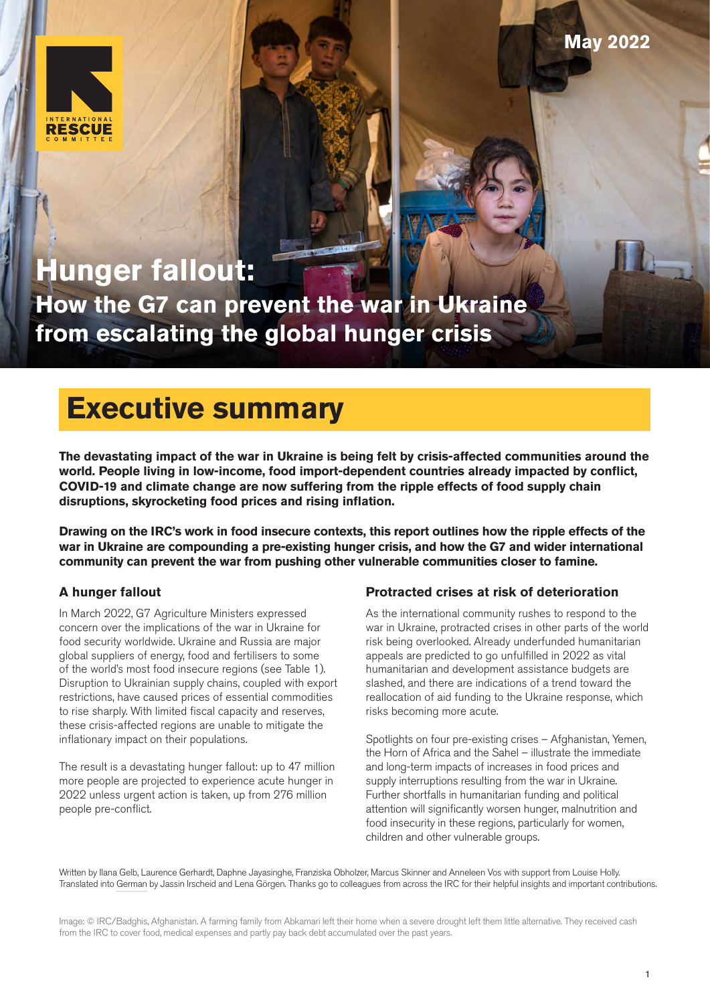

# **Hunger fallout: How the G7 can prevent the war in Ukraine from escalating the global hunger crisis**

# **Executive summary**

**The devastating impact of the war in Ukraine is being felt by crisis-affected communities around the world. People living in low-income, food import-dependent countries already impacted by conflict, COVID-19 and climate change are now suffering from the ripple effects of food supply chain disruptions, skyrocketing food prices and rising inflation.** 

**Drawing on the IRC's work in food insecure contexts, this report outlines how the ripple effects of the war in Ukraine are compounding a pre-existing hunger crisis, and how the G7 and wider international community can prevent the war from pushing other vulnerable communities closer to famine.**

# **A hunger fallout**

In March 2022, G7 Agriculture Ministers expressed concern over the implications of the war in Ukraine for food security worldwide. Ukraine and Russia are major global suppliers of energy, food and fertilisers to some of the world's most food insecure regions (see Table 1). Disruption to Ukrainian supply chains, coupled with export restrictions, have caused prices of essential commodities to rise sharply. With limited fiscal capacity and reserves, these crisis-affected regions are unable to mitigate the inflationary impact on their populations.

The result is a devastating hunger fallout: up to 47 million more people are projected to experience acute hunger in 2022 unless urgent action is taken, up from 276 million people pre-conflict.

# **Protracted crises at risk of deterioration**

As the international community rushes to respond to the war in Ukraine, protracted crises in other parts of the world risk being overlooked. Already underfunded humanitarian appeals are predicted to go unfulfilled in 2022 as vital humanitarian and development assistance budgets are slashed, and there are indications of a trend toward the reallocation of aid funding to the Ukraine response, which risks becoming more acute.

Spotlights on four pre-existing crises – Afghanistan, Yemen, the Horn of Africa and the Sahel – illustrate the immediate and long-term impacts of increases in food prices and supply interruptions resulting from the war in Ukraine. Further shortfalls in humanitarian funding and political attention will significantly worsen hunger, malnutrition and food insecurity in these regions, particularly for women, children and other vulnerable groups.

Written by Ilana Gelb, Laurence Gerhardt, Daphne Jayasinghe, Franziska Obholzer, Marcus Skinner and Anneleen Vos with support from Louise Holly. Translated into [German](https://de.rescue.org/) by Jassin Irscheid and Lena Görgen. Thanks go to colleagues from across the IRC for their helpful insights and important contributions.

Image: © IRC/Badghis, Afghanistan. A farming family from Abkamari left their home when a severe drought left them little alternative. They received cash from the IRC to cover food, medical expenses and partly pay back debt accumulated over the past years.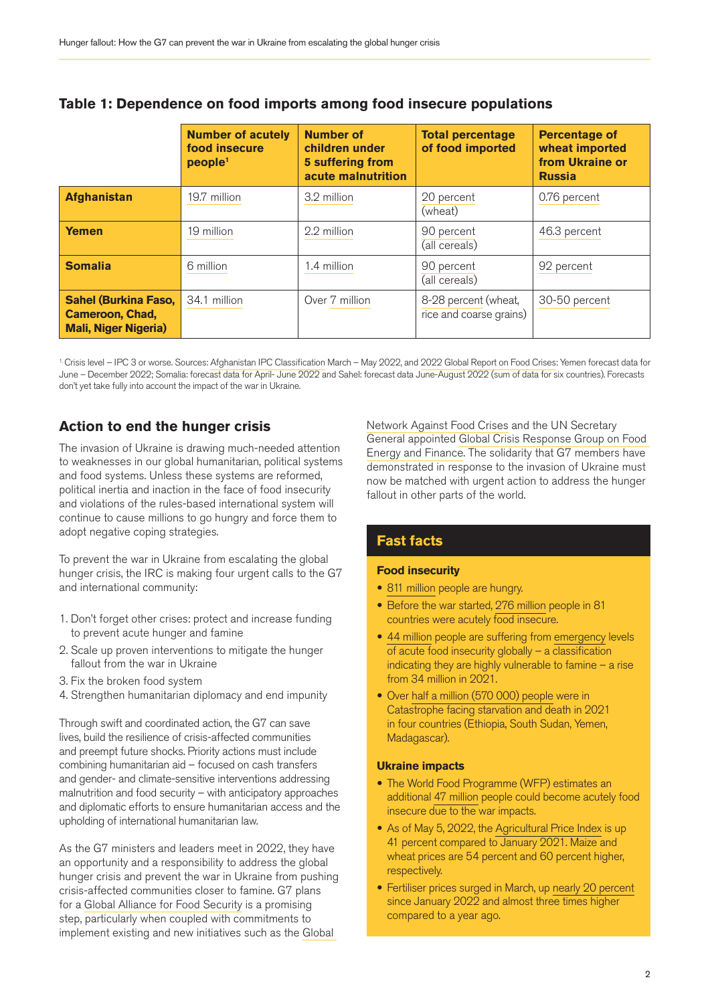|                                                                                      | <b>Number of acutely</b><br>food insecure<br>people <sup>1</sup> | <b>Number of</b><br>children under<br><b>5 suffering from</b><br>acute malnutrition | <b>Total percentage</b><br>of food imported     | <b>Percentage of</b><br>wheat imported<br>from Ukraine or<br><b>Russia</b> |
|--------------------------------------------------------------------------------------|------------------------------------------------------------------|-------------------------------------------------------------------------------------|-------------------------------------------------|----------------------------------------------------------------------------|
| <b>Afghanistan</b>                                                                   | 19.7 million                                                     | 3.2 million                                                                         | 20 percent<br>(wheat)                           | 0.76 percent                                                               |
| <b>Yemen</b>                                                                         | 19 million                                                       | 2.2 million                                                                         | 90 percent<br>(all cereals)                     | 46.3 percent                                                               |
| <b>Somalia</b>                                                                       | 6 million                                                        | 1.4 million                                                                         | 90 percent<br>(all cereals)                     | 92 percent                                                                 |
| <b>Sahel (Burkina Faso,</b><br><b>Cameroon, Chad,</b><br><b>Mali, Niger Nigeria)</b> | 34.1 million                                                     | Over 7 million                                                                      | 8-28 percent (wheat,<br>rice and coarse grains) | 30-50 percent                                                              |

## **Table 1: Dependence on food imports among food insecure populations**

1. Crisis level – IPC 3 or worse. Sources: [Afghanistan IPC Classification](https://www.humanitarianresponse.info/sites/www.humanitarianresponse.info/files/documents/files/ipc_afghanistan_acutefoodinsec_2022mar_2022nov_report.pdf) March – May 2022, and [2022 Global Report on Food Crises](http://www.fightfoodcrises.net/fileadmin/user_upload/fightfoodcrises/doc/resources/GRFC_2022_FINAl_REPORT.pdf): Yemen forecast data for June – December 2022; Somalia: forecast data for April- June 2022 and Sahel: forecast data June-August 2022 (sum of data for six countries). Forecasts don't yet take fully into account the impact of the war in Ukraine.

# **Action to end the hunger crisis**

The invasion of Ukraine is drawing much-needed attention to weaknesses in our global humanitarian, political systems and food systems. Unless these systems are reformed, political inertia and inaction in the face of food insecurity and violations of the rules-based international system will continue to cause millions to go hungry and force them to adopt negative coping strategies.

To prevent the war in Ukraine from escalating the global hunger crisis, the IRC is making four urgent calls to the G7 and international community:

- 1. Don't forget other crises: protect and increase funding to prevent acute hunger and famine
- 2. Scale up proven interventions to mitigate the hunger fallout from the war in Ukraine
- 3. Fix the broken food system
- 4. Strengthen humanitarian diplomacy and end impunity

Through swift and coordinated action, the G7 can save lives, build the resilience of crisis-affected communities and preempt future shocks. Priority actions must include combining humanitarian aid – focused on cash transfers and gender- and climate-sensitive interventions addressing malnutrition and food security – with anticipatory approaches and diplomatic efforts to ensure humanitarian access and the upholding of international humanitarian law.

As the G7 ministers and leaders meet in 2022, they have an opportunity and a responsibility to address the global hunger crisis and prevent the war in Ukraine from pushing crisis-affected communities closer to famine. G7 plans for a [Global Alliance for Food Security](https://www.auswaertiges-amt.de/en/newsroom/news/g7-food-security/2531270) is a promising step, particularly when coupled with commitments to implement existing and new initiatives such as the [Global](http://www.fightfoodcrises.net/) 

[Network Against Food Crises](http://www.fightfoodcrises.net/) and the UN Secretary General appointed [Global Crisis Response Group on Food](https://news.un.org/pages/global-crisis-response-group/)  [Energy and Finance.](https://news.un.org/pages/global-crisis-response-group/) The solidarity that G7 members have demonstrated in response to the invasion of Ukraine must now be matched with urgent action to address the hunger fallout in other parts of the world.

### **Fast facts**

### **Food insecurity**

- [811 million](https://www.wfp.org/hunger-catastrophe) people are hungry.
- Before the war started, [276 million](https://www.wfp.org/hunger-catastrophe) people in 81 countries were acutely food insecure.
- [44 million](https://www.wfp.org/stories/wfp-glance#:~:text=There%20are%2044%20million%20people,from%20a%20declaration%20of%20famine.) people are suffering from [emergency](https://www.ipcinfo.org/fileadmin/user_upload/ipcinfo/docs/communication_tools/brochures/IPC_Brochure_Understanding_the_IPC_Scales.pdf) levels of acute food insecurity globally – a classification indicating they are highly vulnerable to famine  $-$  a rise from 34 million in 2021.
- Over [half a million \(570 000\) people](http://www.fightfoodcrises.net/fileadmin/user_upload/fightfoodcrises/doc/resources/GRFC_2022_FINAl_REPORT.pdf) were in Catastrophe facing starvation and death in 2021 in four countries (Ethiopia, South Sudan, Yemen, Madagascar).

### **Ukraine impacts**

- The World Food Programme (WFP) estimates an additional [47 million](https://www.wfp.org/publications/projected-increase-acute-food-insecurity-due-war-ukraine) people could become acutely food insecure due to the war impacts.
- As of May 5, 2022, the [Agricultural Price Index](https://www.worldbank.org/en/topic/agriculture/brief/food-security-update) is up 41 percent compared to January 2021. Maize and wheat prices are 54 percent and 60 percent higher. respectively.
- Fertiliser prices surged in March, up [nearly 20 percent](https://www.worldbank.org/en/topic/agriculture/brief/food-security-update) since January 2022 and almost three times higher compared to a year ago.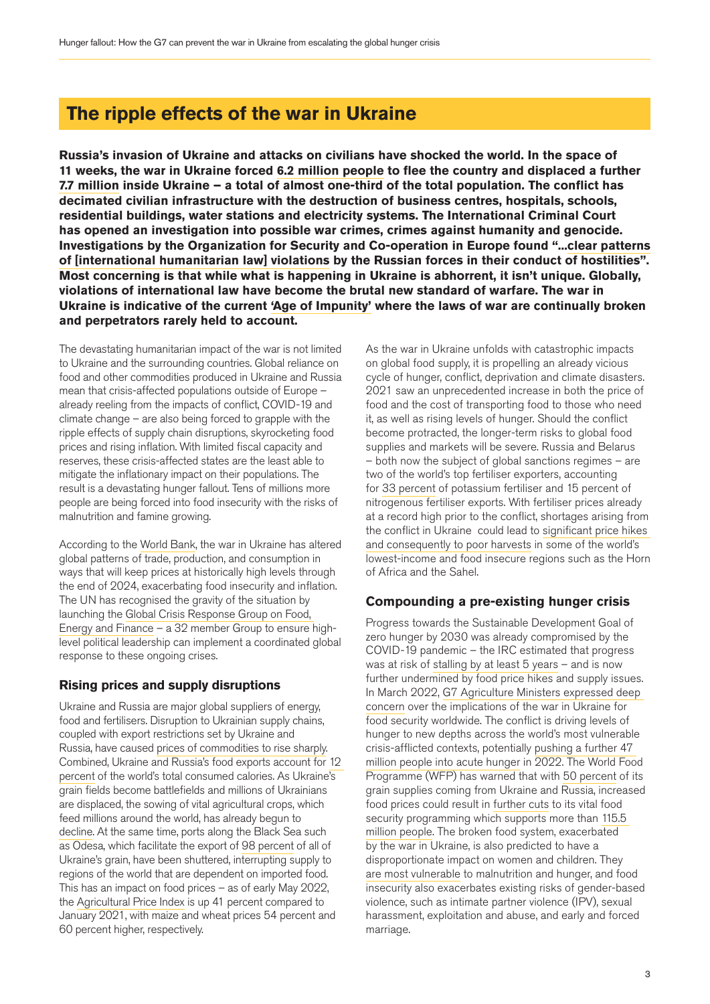# **The ripple effects of the war in Ukraine**

**Russia's invasion of Ukraine and attacks on civilians have shocked the world. In the space of 11 weeks, the war in Ukraine forced [6.2 million people](http://data2.unhcr.org/en/situations/ukraine) to flee the country and displaced a further [7.7 million](https://displacement.iom.int/reports/ukraine-internal-displacement-report-general-population-survey-round-3-11-17-april-2022) inside Ukraine – a total of almost one-third of the total population. The conflict has decimated civilian infrastructure with the destruction of business centres, hospitals, schools, residential buildings, water stations and electricity systems. The International Criminal Court has opened an investigation into possible war crimes, crimes against humanity and genocide. Investigations by the Organization for Security and Co-operation in Europe found "...[clear patterns](https://www.osce.org/files/f/documents/f/a/515868.pdf)  [of \[international humanitarian law\] violations](https://www.osce.org/files/f/documents/f/a/515868.pdf) by the Russian forces in their conduct of hostilities". Most concerning is that while what is happening in Ukraine is abhorrent, it isn't unique. Globally, violations of international law have become the brutal new standard of warfare. The war in Ukraine is indicative of the current ['Age of Impunity'](https://www.google.com/url?q=https://www.rescue.org/press-release/welcome-age-impunity-david-milibands-world-economic-forum-speech&sa=D&source=docs&ust=1650994457070325&usg=AOvVaw3jok2nJ7ZJrGIU6zCu5pDD) where the laws of war are continually broken and perpetrators rarely held to account.**

The devastating humanitarian impact of the war is not limited to Ukraine and the surrounding countries. Global reliance on food and other commodities produced in Ukraine and Russia mean that crisis-affected populations outside of Europe – already reeling from the impacts of conflict, COVID-19 and climate change – are also being forced to grapple with the ripple effects of supply chain disruptions, skyrocketing food prices and rising inflation. With limited fiscal capacity and reserves, these crisis-affected states are the least able to mitigate the inflationary impact on their populations. The result is a devastating hunger fallout. Tens of millions more people are being forced into food insecurity with the risks of malnutrition and famine growing.

According to the [World Bank,](https://www.worldbank.org/en/topic/agriculture/brief/food-security-update) the war in Ukraine has altered global patterns of trade, production, and consumption in ways that will keep prices at historically high levels through the end of 2024, exacerbating food insecurity and inflation. The UN has recognised the gravity of the situation by launching the [Global Crisis Response Group on Food,](https://news.un.org/pages/global-crisis-response-group/)  [Energy and Finance](https://news.un.org/pages/global-crisis-response-group/) – a 32 member Group to ensure highlevel political leadership can implement a coordinated global response to these ongoing crises.

# **Rising prices and supply disruptions**

Ukraine and Russia are major global suppliers of energy, food and fertilisers. Disruption to Ukrainian supply chains, coupled with export restrictions set by Ukraine and Russia, have caused [prices of commodities to rise sharply](https://www.chathamhouse.org/2022/04/ukraine-war-and-threats-food-and-energy-security). Combined, Ukraine and Russia's food exports account for [12](https://www.ifpri.org/blog/how-will-russias-invasion-ukraine-affect-global-food-security)  [percent](https://www.ifpri.org/blog/how-will-russias-invasion-ukraine-affect-global-food-security) of the world's total consumed calories. As Ukraine's grain fields become battlefields and millions of Ukrainians are displaced, the sowing of vital agricultural crops, which feed millions around the world, has already begun to [decline.](https://www.reuters.com/article/ukraine-crisis-grain-sowing-idAFL2N2VI0RR) At the same time, ports along the Black Sea such as Odesa, which facilitate the export of [98 percent](https://www.reuters.com/business/ukraine-could-lose-6-bln-grain-exports-with-ports-blocked-2022-03-21/) of all of Ukraine's grain, have been shuttered, interrupting supply to regions of the world that are dependent on imported food. This has an impact on food prices – as of early May 2022, the [Agricultural Price Index](https://www.worldbank.org/en/topic/agriculture/brief/food-security-update) is up 41 percent compared to January 2021, with maize and wheat prices 54 percent and 60 percent higher, respectively.

As the war in Ukraine unfolds with catastrophic impacts on global food supply, it is propelling an already vicious cycle of hunger, conflict, deprivation and climate disasters. 2021 saw an unprecedented increase in both the price of food and the cost of transporting food to those who need it, as well as rising levels of hunger. Should the conflict become protracted, the longer-term risks to global food supplies and markets will be severe. Russia and Belarus – both now the subject of global sanctions regimes – are two of the world's top fertiliser exporters, accounting for [33 percent](https://www.ifpri.org/blog/how-will-russias-invasion-ukraine-affect-global-food-security) of potassium fertiliser and 15 percent of nitrogenous fertiliser exports. With fertiliser prices already at a record high prior to the conflict, shortages arising from the conflict in Ukraine could lead to [significant price hikes](https://fscluster.org/sites/default/files/documents/implications_of_the_crisis_in_ukraine_on_west_africa_ram_rbd_mars2022.pdf)  [and consequently to poor harvests](https://fscluster.org/sites/default/files/documents/implications_of_the_crisis_in_ukraine_on_west_africa_ram_rbd_mars2022.pdf) in some of the world's lowest-income and food insecure regions such as the Horn of Africa and the Sahel.

# **Compounding a pre-existing hunger crisis**

Progress towards the Sustainable Development Goal of zero hunger by 2030 was already compromised by the COVID-19 pandemic – the IRC estimated that progress was at risk of [stalling by at least 5 years](https://www.rescue.org/sites/default/files/document/5903/endingthehungercrisis.pdf) – and is now further undermined by food price hikes and supply issues. In March 2022, [G7 Agriculture Ministers expressed deep](https://www.fas.usda.gov/sites/default/files/2022-03/g7-extraordinary-meeting-statement.pdf)  [concern](https://www.fas.usda.gov/sites/default/files/2022-03/g7-extraordinary-meeting-statement.pdf) over the implications of the war in Ukraine for food security worldwide. The conflict is driving levels of hunger to new depths across the world's most vulnerable crisis-afflicted contexts, potentially [pushing a further 47](https://www.wfp.org/publications/projected-increase-acute-food-insecurity-due-war-ukraine)  [million people into acute hunger](https://www.wfp.org/publications/projected-increase-acute-food-insecurity-due-war-ukraine) in 2022. The World Food Programme (WFP) has warned that with [50 percent](https://www.wfp.org/stories/world-food-programme-set-assist-people-affected-conflict-ukraine) of its grain supplies coming from Ukraine and Russia, increased food prices could result in [further cuts](https://www.wfp.org/news/ukraine-adds-yemens-woes-hunger-emergency-spreads-and-lack-funding-leaves-millions-vulnerable) to its vital food security programming which supports more than 115.5 [million people.](https://www.wfp.org/stories/wfp-glance) The broken food system, exacerbated by the war in Ukraine, is also predicted to have a disproportionate impact on women and children. They [are most vulnerable](https://gbvaor.net/sites/default/files/2022-04/No Conflict in a Vacuum-GBV-Food Insecurity-Ukraine and WCAR-FINAL-4.4.2022.pdf) to malnutrition and hunger, and food insecurity also exacerbates existing risks of gender-based violence, such as intimate partner violence (IPV), sexual harassment, exploitation and abuse, and early and forced marriage.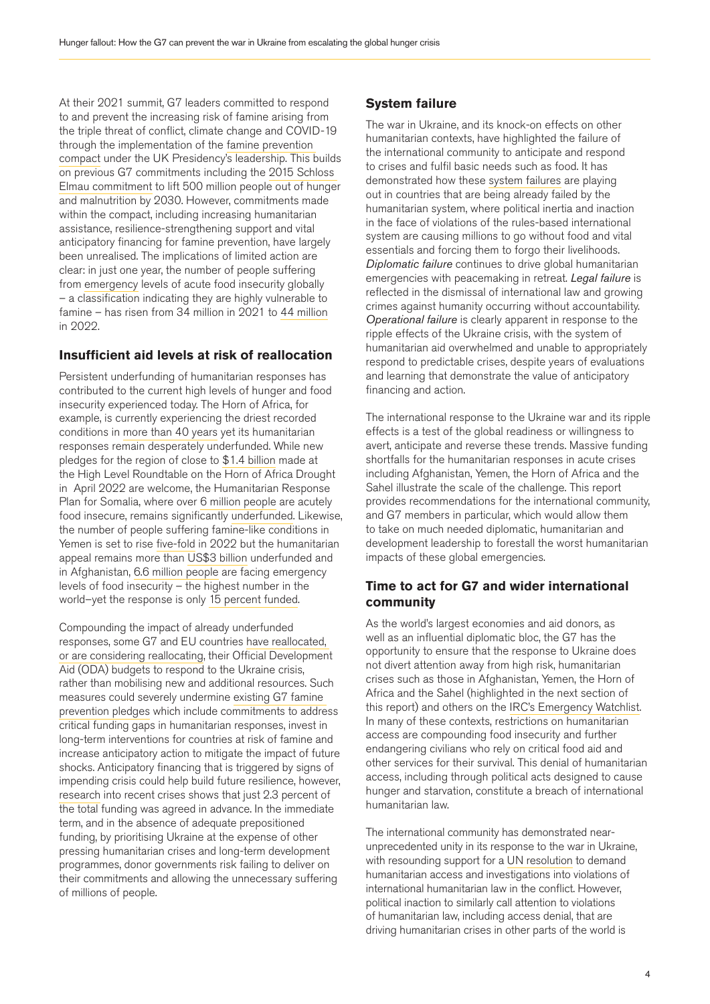At their 2021 summit, G7 leaders committed to respond to and prevent the increasing risk of famine arising from the triple threat of conflict, climate change and COVID-19 through the implementation of the [famine prevention](https://www.gov.uk/government/publications/g7-foreign-and-development-ministers-meeting-may-2021-communique/g7-famine-prevention-and-humanitarian-crises-compact)  [compact](https://www.gov.uk/government/publications/g7-foreign-and-development-ministers-meeting-may-2021-communique/g7-famine-prevention-and-humanitarian-crises-compact) under the UK Presidency's leadership. This builds on previous G7 commitments including the [2015 Schloss](http://www.g7.utoronto.ca/summit/2015elmau/2015-G7-annex-en.pdf)  [Elmau commitment](http://www.g7.utoronto.ca/summit/2015elmau/2015-G7-annex-en.pdf) to lift 500 million people out of hunger and malnutrition by 2030. However, commitments made within the compact, including increasing humanitarian assistance, resilience-strengthening support and vital anticipatory financing for famine prevention, have largely been unrealised. The implications of limited action are clear: in just one year, the number of people suffering from [emergency](https://www.ipcinfo.org/fileadmin/user_upload/ipcinfo/docs/communication_tools/brochures/IPC_Brochure_Understanding_the_IPC_Scales.pdf) levels of acute food insecurity globally – a classification indicating they are highly vulnerable to famine – has risen from 34 million in 2021 to [44 million](https://www.wfp.org/stories/wfp-glance#:~:text=There%20are%2044%20million%20people,from%20a%20declaration%20of%20famine.) in 2022.

### **Insufficient aid levels at risk of reallocation**

Persistent underfunding of humanitarian responses has contributed to the current high levels of hunger and food insecurity experienced today. The Horn of Africa, for example, is currently experiencing the driest recorded conditions in [more than 40 years](https://www.rescue.org/press-release/driest-conditions-ethiopia-and-somalia-seen-forty-years-threaten-wellbeing-millions) yet its humanitarian responses remain desperately underfunded. While new pledges for the region of close to [\\$1.4 billion](https://www.unocha.org/story/donors-pledge-close-14-billion-horn-africa-drought-response) made at the High Level Roundtable on the Horn of Africa Drought in April 2022 are welcome, the Humanitarian Response Plan for Somalia, where over [6 million people](https://www.ipcinfo.org/fileadmin/user_upload/ipcinfo/docs/IPC_Somalia_Acute_Food_Insec_RoF_2022MarJune_Snapshot.pdf) are acutely food insecure, remains significantly [underfunded.](https://fts.unocha.org/appeals/1063/summary) Likewise, the number of people suffering famine-like conditions in Yemen is set to rise [five-fold](https://news.un.org/en/story/2022/03/1113852) in 2022 but the humanitarian appeal remains more than [US\\$3 billion](https://fts.unocha.org/appeals/overview/2022) underfunded and in Afghanistan, [6.6 million people](https://www.humanitarianresponse.info/sites/www.humanitarianresponse.info/files/documents/files/ipc_afghanistan_acutefoodinsec_2022mar_2022nov_report.pdf) are facing emergency levels of food insecurity – the highest number in the world–yet the response is only [15 percent funded.](https://fts.unocha.org/appeals/1100/summary)

Compounding the impact of already underfunded responses, some G7 and EU countries [have reallocated,](https://www.oxfam.org/en/press-releases/some-governments-contemplating-raids-aid-funds-earmarked-other-crises-pay-new-costs)  [or are considering reallocating,](https://www.oxfam.org/en/press-releases/some-governments-contemplating-raids-aid-funds-earmarked-other-crises-pay-new-costs) their Official Development Aid (ODA) budgets to respond to the Ukraine crisis, rather than mobilising new and additional resources. Such measures could severely undermine [existing G7 famine](https://www.gov.uk/government/publications/g7-foreign-and-development-ministers-meeting-may-2021-communique/g7-famine-prevention-and-humanitarian-crises-compact)  [prevention pledges](https://www.gov.uk/government/publications/g7-foreign-and-development-ministers-meeting-may-2021-communique/g7-famine-prevention-and-humanitarian-crises-compact) which include commitments to address critical funding gaps in humanitarian responses, invest in long-term interventions for countries at risk of famine and increase anticipatory action to mitigate the impact of future shocks. Anticipatory financing that is triggered by signs of impending crisis could help build future resilience, however, [research](https://static1.squarespace.com/static/61542ee0a87a394f7bc17b3a/t/616ad7052646c56d7b356637/1634391815076/WP_8_16June.pdf) into recent crises shows that just 2.3 percent of the total funding was agreed in advance. In the immediate term, and in the absence of adequate prepositioned funding, by prioritising Ukraine at the expense of other pressing humanitarian crises and long-term development programmes, donor governments risk failing to deliver on their commitments and allowing the unnecessary suffering of millions of people.

# **System failure**

The war in Ukraine, and its knock-on effects on other humanitarian contexts, have highlighted the failure of the international community to anticipate and respond to crises and fulfil basic needs such as food. It has demonstrated how these [system failures](https://www.cfr.org/event/david-morse-lecture-system-failure-worlds-crisis-zones-conversation-david-miliband) are playing out in countries that are being already failed by the humanitarian system, where political inertia and inaction in the face of violations of the rules-based international system are causing millions to go without food and vital essentials and forcing them to forgo their livelihoods. *Diplomatic failure* continues to drive global humanitarian emergencies with peacemaking in retreat. *Legal failure* is reflected in the dismissal of international law and growing crimes against humanity occurring without accountability. *Operational failure* is clearly apparent in response to the ripple effects of the Ukraine crisis, with the system of humanitarian aid overwhelmed and unable to appropriately respond to predictable crises, despite years of evaluations and learning that demonstrate the value of anticipatory financing and action.

The international response to the Ukraine war and its ripple effects is a test of the global readiness or willingness to avert, anticipate and reverse these trends. Massive funding shortfalls for the humanitarian responses in acute crises including Afghanistan, Yemen, the Horn of Africa and the Sahel illustrate the scale of the challenge. This report provides recommendations for the international community, and G7 members in particular, which would allow them to take on much needed diplomatic, humanitarian and development leadership to forestall the worst humanitarian impacts of these global emergencies.

### **Time to act for G7 and wider international community**

As the world's largest economies and aid donors, as well as an influential diplomatic bloc, the G7 has the opportunity to ensure that the response to Ukraine does not divert attention away from high risk, humanitarian crises such as those in Afghanistan, Yemen, the Horn of Africa and the Sahel (highlighted in the next section of this report) and others on the [IRC's Emergency Watchlist](https://www.rescue.org/sites/default/files/document/6423/cs2201watchlistreportfinal.pdf). In many of these contexts, restrictions on humanitarian access are compounding food insecurity and further endangering civilians who rely on critical food aid and other services for their survival. This denial of humanitarian access, including through political acts designed to cause hunger and starvation, constitute a breach of international humanitarian law.

The international community has demonstrated nearunprecedented unity in its response to the war in Ukraine, with resounding support for a [UN resolution](https://www.un.org/press/en/2022/ga12411.doc.htm) to demand humanitarian access and investigations into violations of international humanitarian law in the conflict. However, political inaction to similarly call attention to violations of humanitarian law, including access denial, that are driving humanitarian crises in other parts of the world is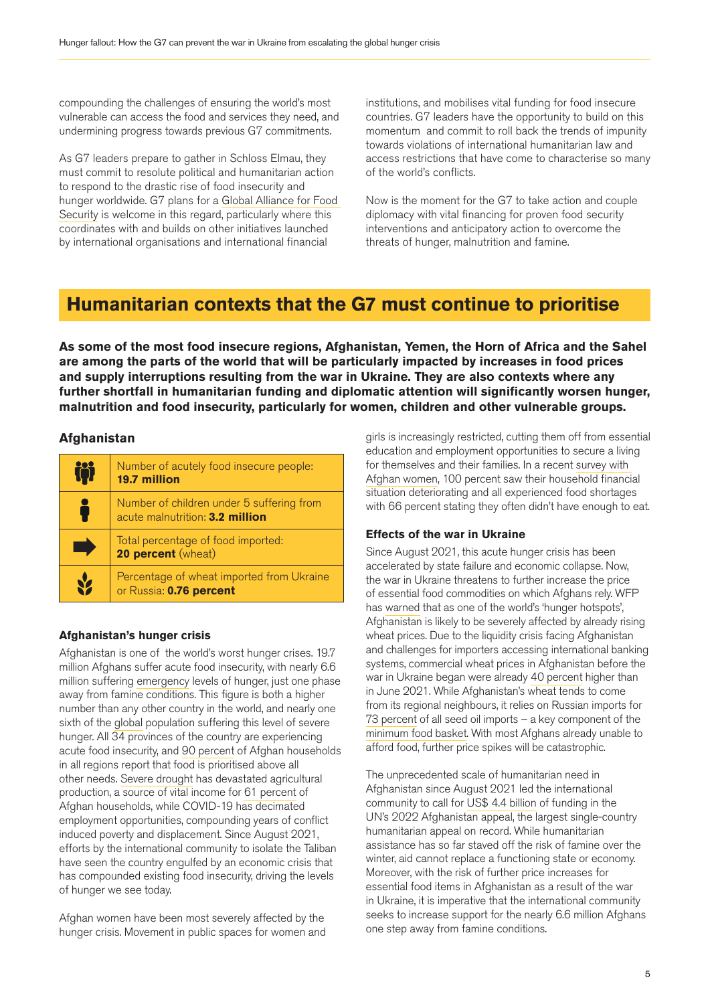compounding the challenges of ensuring the world's most vulnerable can access the food and services they need, and undermining progress towards previous G7 commitments.

As G7 leaders prepare to gather in Schloss Elmau, they must commit to resolute political and humanitarian action to respond to the drastic rise of food insecurity and hunger worldwide. G7 plans for a [Global Alliance for Food](https://www.auswaertiges-amt.de/en/newsroom/news/g7-food-security/2531270)  [Security](https://www.auswaertiges-amt.de/en/newsroom/news/g7-food-security/2531270) is welcome in this regard, particularly where this coordinates with and builds on other initiatives launched by international organisations and international financial

institutions, and mobilises vital funding for food insecure countries. G7 leaders have the opportunity to build on this momentum and commit to roll back the trends of impunity towards violations of international humanitarian law and access restrictions that have come to characterise so many of the world's conflicts.

Now is the moment for the G7 to take action and couple diplomacy with vital financing for proven food security interventions and anticipatory action to overcome the threats of hunger, malnutrition and famine.

# **Humanitarian contexts that the G7 must continue to prioritise**

**As some of the most food insecure regions, Afghanistan, Yemen, the Horn of Africa and the Sahel are among the parts of the world that will be particularly impacted by increases in food prices and supply interruptions resulting from the war in Ukraine. They are also contexts where any further shortfall in humanitarian funding and diplomatic attention will significantly worsen hunger, malnutrition and food insecurity, particularly for women, children and other vulnerable groups.** 

### **Afghanistan**

| H | Number of acutely food insecure people:<br>19.7 million                      |
|---|------------------------------------------------------------------------------|
|   | Number of children under 5 suffering from<br>acute malnutrition: 3.2 million |
|   | Total percentage of food imported:<br>20 percent (wheat)                     |
|   | Percentage of wheat imported from Ukraine<br>or Russia: 0.76 percent         |

### **Afghanistan's hunger crisis**

Afghanistan is one of the world's worst hunger crises. 19.7 million Afghans suffer acute food insecurity, with nearly 6.6 million suffering [emergency](https://www.humanitarianresponse.info/sites/www.humanitarianresponse.info/files/documents/files/ipc_afghanistan_acutefoodinsec_2022mar_2022nov_report.pdf) levels of hunger, just one phase away from famine conditions. This figure is both a higher number than any other country in the world, and nearly one sixth of the [global](https://www.wfp.org/stories/wfp-glance) population suffering this level of severe hunger. All 34 provinces of the country are experiencing acute food insecurity, and [90 percent](https://www.reachresourcecentre.info/country/afghanistan/) of Afghan households in all regions report that food is prioritised above all other needs. [Severe drought](https://www.rescue.org/article/how-climate-change-compounding-conflict-afghanistan) has devastated agricultural production, a source of vital income for [61 percent](https://assets.publishing.service.gov.uk/media/5d10b7fbe5274a0694afe5f5/574___576__Agriculture_in_Afghanistan.pdf) of Afghan households, while COVID-19 has decimated employment opportunities, compounding years of conflict induced poverty and displacement. Since August 2021, efforts by the international community to isolate the Taliban have seen the country engulfed by an economic crisis that has compounded existing food insecurity, driving the levels of hunger we see today.

Afghan women have been most severely affected by the hunger crisis. Movement in public spaces for women and girls is increasingly restricted, cutting them off from essential education and employment opportunities to secure a living for themselves and their families. In a recent [survey with](https://www.womenforwomen.org/no-one-hears-our-voices)  [Afghan women](https://www.womenforwomen.org/no-one-hears-our-voices), 100 percent saw their household financial situation deteriorating and all experienced food shortages with 66 percent stating they often didn't have enough to eat.

### **Effects of the war in Ukraine**

Since August 2021, this acute hunger crisis has been accelerated by state failure and economic collapse. Now, the war in Ukraine threatens to further increase the price of essential food commodities on which Afghans rely. WFP has [warned](https://reliefweb.int/report/ukraine/food-security-implications-ukraine-conflict-march-2022) that as one of the world's 'hunger hotspots', Afghanistan is likely to be severely affected by already rising wheat prices. Due to the liquidity crisis facing Afghanistan and challenges for importers accessing international banking systems, commercial wheat prices in Afghanistan before the war in Ukraine began were already [40 percent](https://reliefweb.int/report/afghanistan/afghanistan-food-security-update-round-six-february-2022) higher than in June 2021. While Afghanistan's wheat tends to come from its regional neighbours, it relies on Russian imports for [73 percent](https://oec.world/en/profile/bilateral-product/seed-oils/reporter/afg) of all seed oil imports – a key component of the [minimum food basket](https://reliefweb.int/sites/reliefweb.int/files/resources/REACH_AFG_JMMI_Factsheet_May2021.pdf). With most Afghans already unable to afford food, further price spikes will be catastrophic.

The unprecedented scale of humanitarian need in Afghanistan since August 2021 led the international community to call for [US\\$ 4.4 billion](https://fts.unocha.org/appeals/1100/summary) of funding in the UN's 2022 Afghanistan appeal, the largest single-country humanitarian appeal on record. While humanitarian assistance has so far staved off the risk of famine over the winter, aid cannot replace a functioning state or economy. Moreover, with the risk of further price increases for essential food items in Afghanistan as a result of the war in Ukraine, it is imperative that the international community seeks to increase support for the nearly 6.6 million Afghans one step away from famine conditions.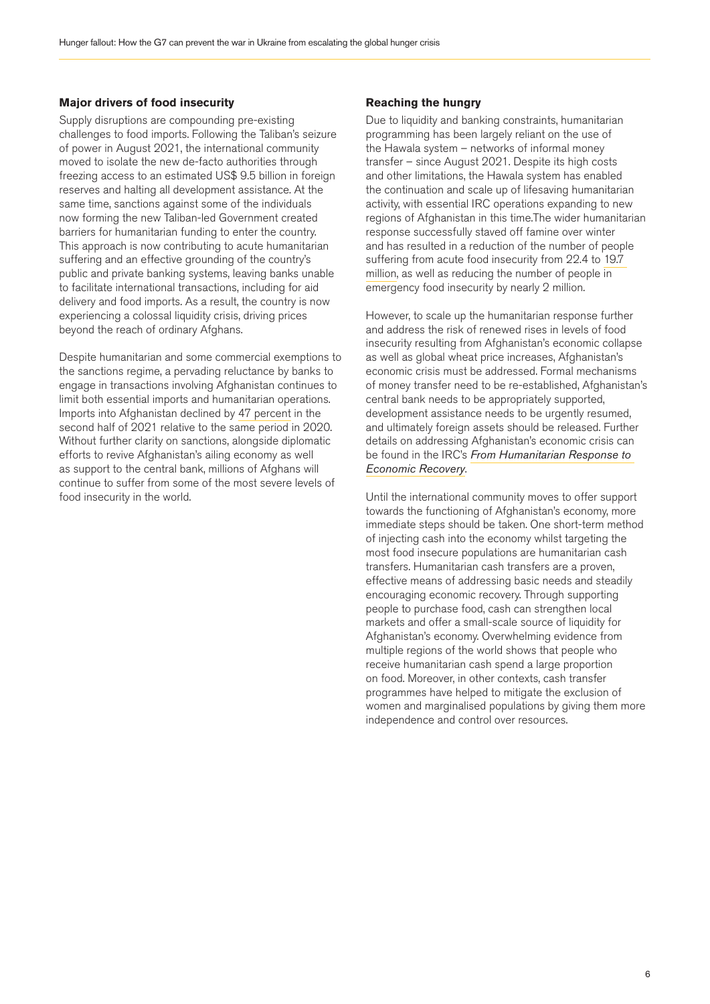### **Major drivers of food insecurity**

Supply disruptions are compounding pre-existing challenges to food imports. Following the Taliban's seizure of power in August 2021, the international community moved to isolate the new de-facto authorities through freezing access to an estimated US\$ 9.5 billion in foreign reserves and halting all development assistance. At the same time, sanctions against some of the individuals now forming the new Taliban-led Government created barriers for humanitarian funding to enter the country. This approach is now contributing to acute humanitarian suffering and an effective grounding of the country's public and private banking systems, leaving banks unable to facilitate international transactions, including for aid delivery and food imports. As a result, the country is now experiencing a colossal liquidity crisis, driving prices beyond the reach of ordinary Afghans.

Despite humanitarian and some commercial exemptions to the sanctions regime, a pervading reluctance by banks to engage in transactions involving Afghanistan continues to limit both essential imports and humanitarian operations. Imports into Afghanistan declined by [47 percent](https://thedocs.worldbank.org/en/doc/5f01165822f3639224e0d483ba1861fc-0310062022/original/ADU-2022-FINAL-CLEARED.pdf) in the second half of 2021 relative to the same period in 2020. Without further clarity on sanctions, alongside diplomatic efforts to revive Afghanistan's ailing economy as well as support to the central bank, millions of Afghans will continue to suffer from some of the most severe levels of food insecurity in the world.

#### **Reaching the hungry**

Due to liquidity and banking constraints, humanitarian programming has been largely reliant on the use of the Hawala system – networks of informal money transfer – since August 2021. Despite its high costs and other limitations, the Hawala system has enabled the continuation and scale up of lifesaving humanitarian activity, with essential IRC operations expanding to new regions of Afghanistan in this time.The wider humanitarian response successfully staved off famine over winter and has resulted in a reduction of the number of people suffering from acute food insecurity from 22.4 to [19.7](https://www.humanitarianresponse.info/sites/www.humanitarianresponse.info/files/documents/files/ipc_afghanistan_acutefoodinsec_2022mar_2022nov_report.pdf)  [million,](https://www.humanitarianresponse.info/sites/www.humanitarianresponse.info/files/documents/files/ipc_afghanistan_acutefoodinsec_2022mar_2022nov_report.pdf) as well as reducing the number of people in emergency food insecurity by nearly 2 million.

However, to scale up the humanitarian response further and address the risk of renewed rises in levels of food insecurity resulting from Afghanistan's economic collapse as well as global wheat price increases, Afghanistan's economic crisis must be addressed. Formal mechanisms of money transfer need to be re-established, Afghanistan's central bank needs to be appropriately supported, development assistance needs to be urgently resumed, and ultimately foreign assets should be released. Further details on addressing Afghanistan's economic crisis can be found in the IRC's *[From Humanitarian Response to](https://www.rescue.org/report/humanitarian-response-economic-recovery-recommendations-addressing-acute-needs-and-root?edme=true)  [Economic Recovery](https://www.rescue.org/report/humanitarian-response-economic-recovery-recommendations-addressing-acute-needs-and-root?edme=true)*.

Until the international community moves to offer support towards the functioning of Afghanistan's economy, more immediate steps should be taken. One short-term method of injecting cash into the economy whilst targeting the most food insecure populations are humanitarian cash transfers. Humanitarian cash transfers are a proven, effective means of addressing basic needs and steadily encouraging economic recovery. Through supporting people to purchase food, cash can strengthen local markets and offer a small-scale source of liquidity for Afghanistan's economy. Overwhelming evidence from multiple regions of the world shows that people who receive humanitarian cash spend a large proportion on food. Moreover, in other contexts, cash transfer programmes have helped to mitigate the exclusion of women and marginalised populations by giving them more independence and control over resources.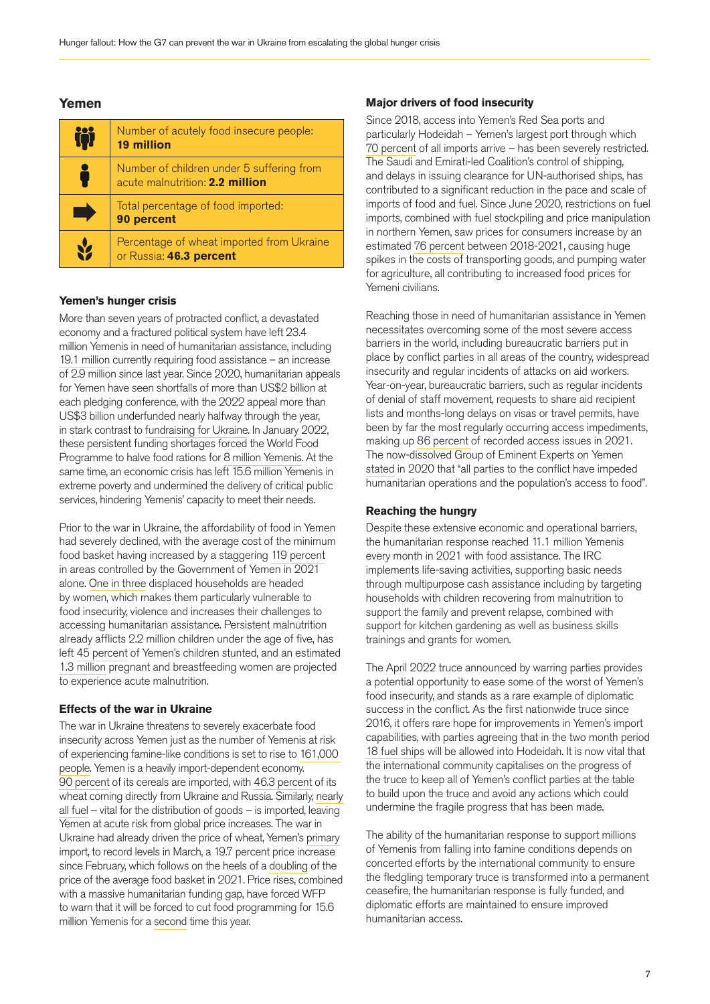### **Yemen**

| 守 | Number of acutely food insecure people:<br><b>19 million</b>                 |
|---|------------------------------------------------------------------------------|
|   | Number of children under 5 suffering from<br>acute malnutrition: 2.2 million |
|   | Total percentage of food imported:<br>90 percent                             |
|   | Percentage of wheat imported from Ukraine<br>or Russia: 46.3 percent         |

#### **Yemen's hunger crisis**

More than seven years of protracted conflict, a devastated economy and a fractured political system have left 23.4 million Yemenis in need of humanitarian assistance, including [19.1 million](https://reliefweb.int/report/yemen/yemen-humanitarian-response-plan-2022) currently requiring food assistance – an increase of 2.9 million since last year. Since 2020, humanitarian appeals for Yemen have seen shortfalls of more than US\$2 billion at each pledging conference, with the 2022 appeal more than US\$3 billion underfunded nearly halfway through the year, in stark contrast to [fundraising for Ukraine.](https://www.thenewhumanitarian.org/analysis/2022/03/24/ukraine-aid-funding-media-other-crises) In January 2022, these persistent funding shortages forced the World Food Programme to halve food rations for [8 million Yemenis.](https://www.wfp.org/news/countdown-catastrophe-begins-yemen-funding-food-assistance-dwindles#:~:text=WFP%20provides%20food%20assistance%20to,receive%20a%20full%20food%20ration.) At the same time, an economic crisis has left 15.6 million Yemenis in extreme poverty and undermined the delivery of critical public services, hindering Yemenis' capacity to meet their needs.

Prior to the war in Ukraine, the affordability of food in Yemen had severely declined, with the average cost of the minimum food basket having increased by a staggering [119 percent](https://reliefweb.int/report/yemen/yemen-humanitarian-response-plan-2022) in areas controlled by the Government of Yemen in 2021 alone. [One in three](https://yemen.unfpa.org/en/news/women-and-girls-continue-pay-heavy-price-yemen-conflict-slips-further-global-view-0) displaced households are headed by women, which makes them particularly vulnerable to food insecurity, violence and increases their challenges to accessing humanitarian assistance. Persistent malnutrition already afflicts 2.2 million children under the age of five, has left [45 percent](https://reliefweb.int/report/yemen/war-ukraine-continues-millions-children-middle-east-and-north-africa-increased-risk) of Yemen's children stunted, and an estimated [1.3 million](https://www.unfpa.org/resources/unfpa-response-yemen-situation-report-1-january-march-2022) pregnant and breastfeeding women are projected to experience acute malnutrition.

### **Effects of the war in Ukraine**

The war in Ukraine threatens to severely exacerbate food insecurity across Yemen just as the number of Yemenis at risk of experiencing famine-like conditions is set to rise to [161,000](https://www.ipcinfo.org/ipc-country-analysis/details-map/en/c/1155479/)  [people](https://www.ipcinfo.org/ipc-country-analysis/details-map/en/c/1155479/). Yemen is a heavily import-dependent economy. [90 percent](https://cdn.odi.org/media/documents/Food_security_in_Yemen_1_-_the_private_sector_and_imported_food_uTu5YXS.pdf) of its cereals are imported, with [46.3 percent](https://oec.world/en/profile/bilateral-product/wheat/reporter/yem) of its wheat coming directly from Ukraine and Russia. Similarly, nearly [all fuel](https://www.unocha.org/story/yemen-largest-ever-cerf-allocation-us50-m-rapidly-bolster-response) – vital for the distribution of goods – is imported, leaving Yemen at acute risk from global price increases. The war in Ukraine had already driven the price of wheat, Yemen's [primary](https://oec.world/en/profile/bilateral-product/wheat/reporter/yem) import, to [record levels](https://capital.com/wheat-price-forecast) in March, a 19.7 percent price increase since February, which follows on the heels of a [doubling](https://news.un.org/en/story/2022/03/1114002) of the price of the average food basket in 2021. Price rises, combined with a massive humanitarian funding gap, have forced WFP to warn that it will be forced to cut food programming for 15.6 million Yemenis for a [second](https://www.wfp.org/news/ukraine-adds-yemens-woes-hunger-emergency-spreads-and-lack-funding-leaves-millions-vulnerable) time this year.

#### **Major drivers of food insecurity**

Since 2018, access into Yemen's Red Sea ports and particularly Hodeidah – Yemen's largest port through which [70 percent](https://reliefweb.int/report/yemen/undp-support-vital-hodeidah-ports-sets-pace-sustainable-peace-yemen) of all imports arrive – has been severely restricted. The Saudi and Emirati-led Coalition's control of shipping, and delays in issuing clearance for UN-authorised ships, has contributed to a significant reduction in the pace and scale of imports of food and fuel. Since June 2020, restrictions on fuel imports, combined with fuel stockpiling and price manipulation in northern Yemen, saw prices for consumers increase by an estimated [76 percent](https://www.acaps.org/sites/acaps/files/products/files/20210817_acaps_yemen_analysis_hub_fuel_prices_0_0.pdf) between 2018-2021, causing huge spikes in the costs of transporting goods, and pumping water for agriculture, all contributing to increased food prices for Yemeni civilians.

Reaching those in need of humanitarian assistance in Yemen necessitates overcoming some of the most severe access barriers in the world, including bureaucratic barriers put in place by conflict parties in all areas of the country, widespread insecurity and regular incidents of attacks on aid workers. Year-on-year, bureaucratic barriers, such as regular incidents of denial of staff movement, requests to share aid recipient lists and months-long delays on visas or travel permits, have been by far the most regularly occurring access impediments, making up [86 percent](https://reliefweb.int/report/yemen/yemen-analysis-humanitarian-access-hard-reach-areas-2021-june-december-2021) of recorded access issues in 2021. The now-dissolved Group of Eminent Experts on Yemen [stated](https://www.ohchr.org/sites/default/files/Documents/HRBodies/HRCouncil/GEE-Yemen/2020-09-09-report.pdf) in 2020 that "all parties to the conflict have impeded humanitarian operations and the population's access to food".

#### **Reaching the hungry**

Despite these extensive economic and operational barriers, the humanitarian response reached [11.1 million](https://reliefweb.int/report/yemen/yemen-humanitarian-response-snapshot-december-2021#:~:text=In%20parallel%2C%20the%202021%20Yemen,11.6%20million%20people%20per%20month.) Yemenis every month in 2021 with food assistance. The IRC implements life-saving activities, supporting basic needs through multipurpose cash assistance including by targeting households with children recovering from malnutrition to support the family and prevent relapse, combined with support for kitchen gardening as well as business skills trainings and grants for women.

The April 2022 truce announced by warring parties provides a potential opportunity to ease some of the worst of Yemen's food insecurity, and stands as a rare example of diplomatic success in the conflict. As the first nationwide truce since 2016, it offers rare hope for improvements in Yemen's import capabilities, with parties agreeing that in the two month period [18 fuel ships](https://reliefweb.int/report/yemen/statement-truce-yemen-2-april-2022-enar) will be allowed into Hodeidah. It is now vital that the international community capitalises on the progress of the truce to keep all of Yemen's conflict parties at the table to build upon the truce and avoid any actions which could undermine the fragile progress that has been made.

The ability of the humanitarian response to support millions of Yemenis from falling into famine conditions depends on concerted efforts by the international community to ensure the fledgling temporary truce is transformed into a permanent ceasefire, the humanitarian response is fully funded, and diplomatic efforts are maintained to ensure improved humanitarian access.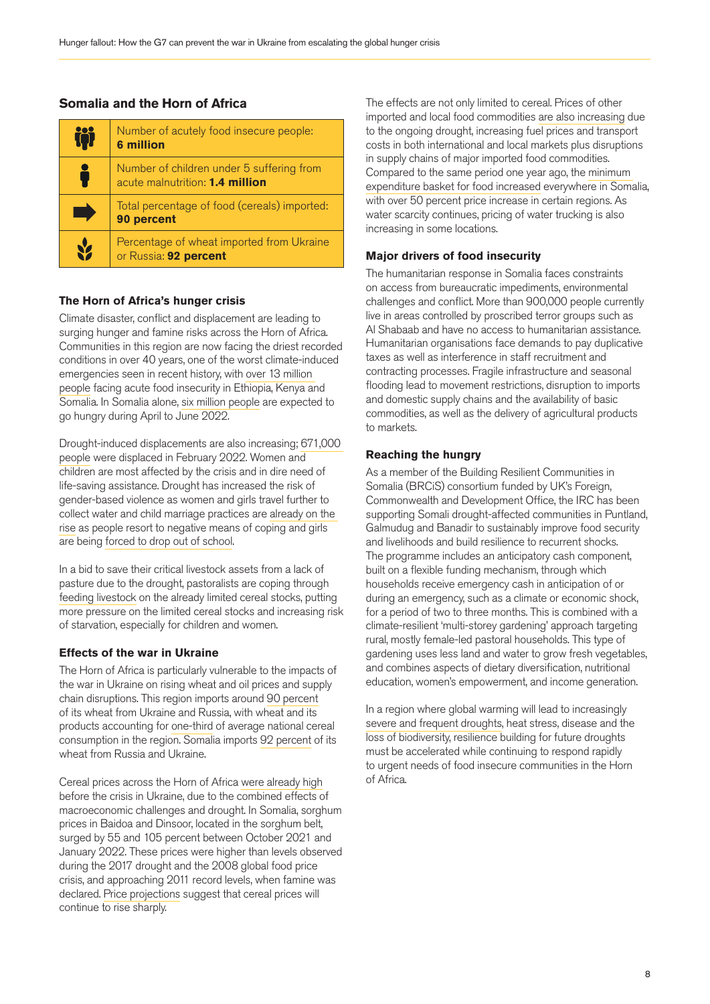### **Somalia and the Horn of Africa**

| $\ddot{ }$ | Number of acutely food insecure people:<br><b>6 million</b>                  |
|------------|------------------------------------------------------------------------------|
|            | Number of children under 5 suffering from<br>acute malnutrition: 1.4 million |
|            | Total percentage of food (cereals) imported:<br>90 percent                   |
|            | Percentage of wheat imported from Ukraine<br>or Russia: 92 percent           |

### **The Horn of Africa's hunger crisis**

Climate disaster, conflict and displacement are leading to surging hunger and famine risks across the Horn of Africa. Communities in this region are now facing the driest recorded conditions in over 40 years, one of the worst climate-induced emergencies seen in recent history, with [over 13 million](https://reliefweb.int/report/ethiopia/horn-africa-drought-humanitarian-key-messages-23-march-2022)  [people](https://reliefweb.int/report/ethiopia/horn-africa-drought-humanitarian-key-messages-23-march-2022) facing acute food insecurity in Ethiopia, Kenya and Somalia. In Somalia alone, [six million people](https://reliefweb.int/report/somalia/somalia-faces-risk-famine-ipc-phase-5-multi-season-drought-and-soaring-food-prices) are expected to go hungry during April to June 2022.

Drought-induced displacements are also increasing; [671,000](https://reliefweb.int/sites/reliefweb.int/files/resources/OCHA SOMALIA HUMANITARIAN BULLETIN - FEBRUARY 2022.pdf)  [people](https://reliefweb.int/sites/reliefweb.int/files/resources/OCHA SOMALIA HUMANITARIAN BULLETIN - FEBRUARY 2022.pdf) were displaced in February 2022. Women and children are most affected by the crisis and in dire need of life-saving assistance. Drought has increased the risk of gender-based violence as women and girls travel further to collect water and child marriage practices are [already on the](https://www.theguardian.com/society/2022/apr/30/ethiopian-drought-leading-to-dramatic-increase-in-child-marriage-unicef-warns?CMP=Share_iOSApp_Other)  [rise](https://www.theguardian.com/society/2022/apr/30/ethiopian-drought-leading-to-dramatic-increase-in-child-marriage-unicef-warns?CMP=Share_iOSApp_Other) as people resort to negative means of coping and girls are being [forced to drop out of school.](https://reliefweb.int/report/somalia/somalia-early-marriages-fgm-and-closure-businesses-threaten-girls-and-women-drought)

In a bid to save their critical livestock assets from a lack of pasture due to the drought, pastoralists are coping through [feeding livestock](https://sheltercluster.s3.eu-central-1.amazonaws.com/public/docs/drought_assessment_report_puntland_december_2021_final_2.pdf) on the already limited cereal stocks, putting more pressure on the limited cereal stocks and increasing risk of starvation, especially for children and women.

### **Effects of the war in Ukraine**

The Horn of Africa is particularly vulnerable to the impacts of the war in Ukraine on rising wheat and oil prices and supply chain disruptions. This region imports around [90 percent](https://reliefweb.int/report/burundi/implications-ukraine-conflict-food-access-and-availability-eastern-africa-region) of its wheat from Ukraine and Russia, with wheat and its products accounting for [one-third](https://reliefweb.int/report/burundi/implications-ukraine-conflict-food-access-and-availability-eastern-africa-region) of average national cereal consumption in the region. Somalia imports [92 percent](https://reliefweb.int/report/burundi/implications-ukraine-conflict-food-access-and-availability-eastern-africa-region) of its wheat from Russia and Ukraine.

Cereal prices across the Horn of Africa [were already high](https://reliefweb.int/sites/reliefweb.int/files/resources/FSNWG_Drought_Alert___5_April_2022.pdf) before the crisis in Ukraine, due to the combined effects of macroeconomic challenges and drought. In Somalia, sorghum prices in Baidoa and Dinsoor, located in the sorghum belt, surged by 55 and 105 percent between October 2021 and January 2022. These prices were higher than levels observed during the 2017 drought and the 2008 global food price crisis, and approaching 2011 record levels, when famine was declared. [Price projections](https://reliefweb.int/sites/reliefweb.int/files/resources/FSNWG_Drought_Alert___5_April_2022.pdf) suggest that cereal prices will continue to rise sharply.

The effects are not only limited to cereal. Prices of other imported and local food commodities [are also increasing](https://reliefweb.int/sites/reliefweb.int/files/resources/WFP-0000138345.pdf) due to the ongoing drought, increasing fuel prices and transport costs in both international and local markets plus disruptions in supply chains of major imported food commodities. Compared to the same period one year ago, the [minimum](https://reliefweb.int/sites/reliefweb.int/files/resources/WFP-0000138345.pdf)  [expenditure basket for food increased](https://reliefweb.int/sites/reliefweb.int/files/resources/WFP-0000138345.pdf) everywhere in Somalia, with over 50 percent price increase in certain regions. As water scarcity continues, pricing of water trucking is also increasing in some locations.

### **Major drivers of food insecurity**

The humanitarian response in Somalia faces constraints on access from bureaucratic impediments, environmental challenges and conflict. More than 900,000 people currently live in areas controlled by proscribed terror groups such as Al Shabaab and have no access to humanitarian assistance. Humanitarian organisations face demands to pay duplicative taxes as well as interference in staff recruitment and contracting processes. Fragile infrastructure and seasonal flooding lead to movement restrictions, disruption to imports and domestic supply chains and the availability of basic commodities, as well as the delivery of agricultural products to markets.

### **Reaching the hungry**

As a member of the Building Resilient Communities in Somalia (BRCiS) consortium funded by UK's Foreign, Commonwealth and Development Office, the IRC has been supporting Somali drought-affected communities in Puntland, Galmudug and Banadir to sustainably improve food security and livelihoods and build resilience to recurrent shocks. The programme includes an anticipatory cash component, built on a flexible funding mechanism, through which households receive emergency cash in anticipation of or during an emergency, such as a climate or economic shock, for a period of two to three months. This is combined with a climate-resilient 'multi-storey gardening' approach targeting rural, mostly female-led pastoral households. This type of gardening uses less land and water to grow fresh vegetables, and combines aspects of dietary diversification, nutritional education, women's empowerment, and income generation.

In a region where global warming will lead to increasingly [severe and frequent droughts,](https://www.thenewhumanitarian.org/news-feature/2022/04/13/Horn-Africa-Ethiopia-Kenya-Somalia-drought) heat stress, disease and the loss of biodiversity, resilience building for future droughts must be accelerated while continuing to respond rapidly to urgent needs of food insecure communities in the Horn of Africa.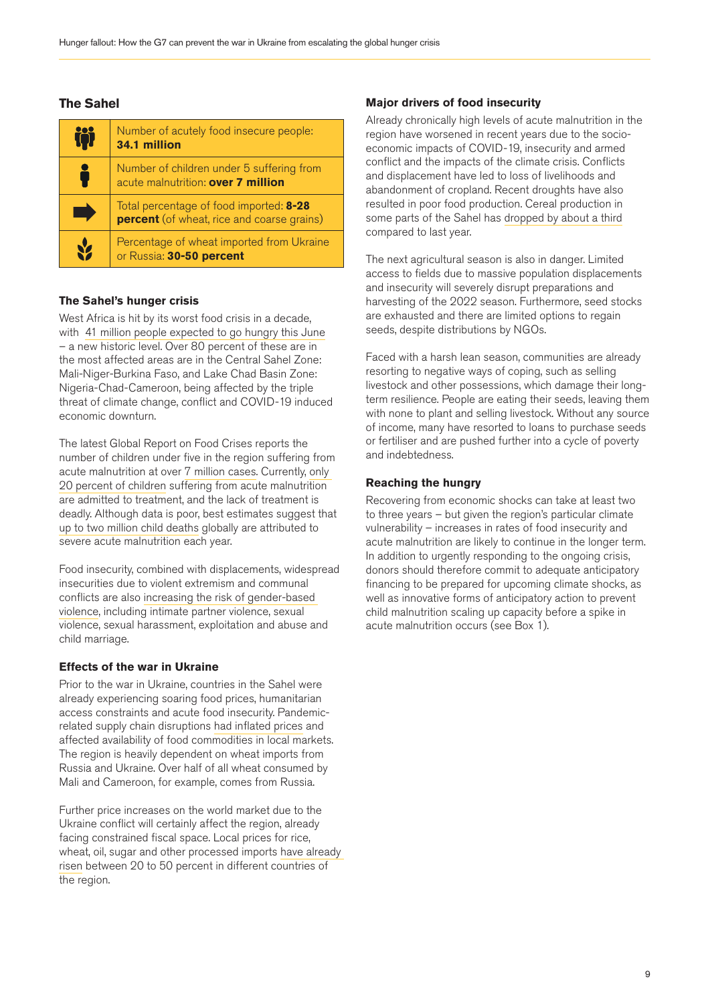### **The Sahel**

| iòi | Number of acutely food insecure people:<br>34.1 million                                      |
|-----|----------------------------------------------------------------------------------------------|
|     | Number of children under 5 suffering from<br>acute malnutrition: over 7 million              |
|     | Total percentage of food imported: 8-28<br><b>percent</b> (of wheat, rice and coarse grains) |
|     | Percentage of wheat imported from Ukraine<br>or Russia: 30-50 percent                        |

### **The Sahel's hunger crisis**

West Africa is hit by its worst food crisis in a decade, with  [41 million people expected to go hungry this June](https://www.humanitarianresponse.info/en/operations/west-and-central-africa/document/sahel-and-west-africa-unprecedented-food-and-nutrition) – a new historic level. Over 80 percent of these are in the most affected areas are in the Central Sahel Zone: Mali-Niger-Burkina Faso, and Lake Chad Basin Zone: Nigeria-Chad-Cameroon, being affected by the triple threat of climate change, conflict and COVID-19 induced economic downturn.

The latest Global Report on Food Crises reports the number of children under five in the region suffering from acute malnutrition at over [7 million cases.](http://www.fightfoodcrises.net/fileadmin/user_upload/fightfoodcrises/doc/resources/GRFC_2022_FINAl_REPORT.pdf) Currently, [only](https://www.actionagainsthunger.org/publication/2021/08/state-evidence-2021-modifications-aiming-optimize-acute-malnutrition-management)  [20 percent of children](https://www.actionagainsthunger.org/publication/2021/08/state-evidence-2021-modifications-aiming-optimize-acute-malnutrition-management) suffering from acute malnutrition are admitted to treatment, and the lack of treatment is deadly. Although data is poor, best estimates suggest that [up to two million child deaths](https://www.ncbi.nlm.nih.gov/pmc/articles/PMC8050919/#:~:text=Children%20with%20severe%20acute%20malnutrition%20are%20nearly%2012%20times%20more,due%20to%20severe%20acute%20malnutrition.) globally are attributed to severe acute malnutrition each year.

Food insecurity, combined with displacements, widespread insecurities due to violent extremism and communal conflicts are also [increasing the risk of gender-based](https://gbvaor.net/sites/default/files/2022-04/No Conflict in a Vacuum-GBV-Food Insecurity-Ukraine and WCAR-FINAL-4.4.2022.pdf)  [violence,](https://gbvaor.net/sites/default/files/2022-04/No Conflict in a Vacuum-GBV-Food Insecurity-Ukraine and WCAR-FINAL-4.4.2022.pdf) including intimate partner violence, sexual violence, sexual harassment, exploitation and abuse and child marriage.

### **Effects of the war in Ukraine**

Prior to the war in Ukraine, countries in the Sahel were already experiencing soaring food prices, humanitarian access constraints and acute food insecurity. Pandemicrelated supply chain disruptions [had inflated prices](https://fscluster.org/nigeria/document/implications-crisis-ukraine-west-africa) and affected availability of food commodities in local markets. The region is heavily dependent on wheat imports from Russia and Ukraine. Over half of all wheat consumed by Mali and Cameroon, for example, comes from Russia.

Further price increases on the world market due to the Ukraine conflict will certainly affect the region, already facing constrained fiscal space. Local prices for rice, wheat, oil, sugar and other processed imports [have already](https://blogs.worldbank.org/voices/war-ukraine-amplifying-already-prevailing-food-crisis-west-africa-and-sahel-region)  [risen](https://blogs.worldbank.org/voices/war-ukraine-amplifying-already-prevailing-food-crisis-west-africa-and-sahel-region) between 20 to 50 percent in different countries of the region.

### **Major drivers of food insecurity**

Already chronically high levels of acute malnutrition in the region have worsened in recent years due to the socioeconomic impacts of COVID-19, insecurity and armed conflict and the impacts of the climate crisis. Conflicts and displacement have led to loss of livelihoods and abandonment of cropland. Recent droughts have also resulted in poor food production. Cereal production in some parts of the Sahel has [dropped by about a third](https://reliefweb.int/report/burkina-faso/west-africa-faces-its-worst-food-crisis-ten-years-over-27-million-people-already) compared to last year.

The next agricultural season is also in danger. Limited access to fields due to massive population displacements and insecurity will severely disrupt preparations and harvesting of the 2022 season. Furthermore, seed stocks are exhausted and there are limited options to regain seeds, despite distributions by NGOs.

Faced with a harsh lean season, communities are already resorting to negative ways of coping, such as selling livestock and other possessions, which damage their longterm resilience. People are eating their seeds, leaving them with none to plant and selling livestock. Without any source of income, many have resorted to loans to purchase seeds or fertiliser and are pushed further into a cycle of poverty and indebtedness.

### **Reaching the hungry**

Recovering from economic shocks can take at least two to three years – but given the region's particular climate vulnerability – increases in rates of food insecurity and acute malnutrition are likely to continue in the longer term. In addition to urgently responding to the ongoing crisis, donors should therefore commit to adequate anticipatory financing to be prepared for upcoming climate shocks, as well as innovative forms of anticipatory action to prevent child malnutrition scaling up capacity before a spike in acute malnutrition occurs (see Box 1).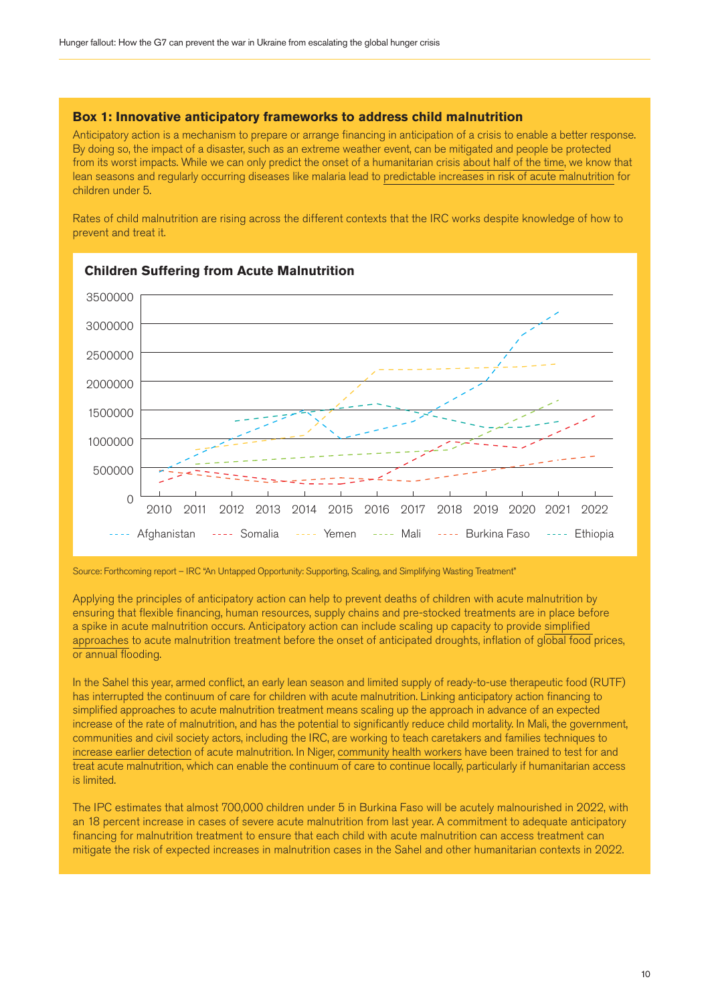### **Box 1: Innovative anticipatory frameworks to address child malnutrition**

Anticipatory action is a mechanism to prepare or arrange financing in anticipation of a crisis to enable a better response. By doing so, the impact of a disaster, such as an extreme weather event, can be mitigated and people be protected from its worst impacts. While we can only predict the onset of a humanitarian crisis [about half of the time](https://reliefweb.int/report/world/under-secretary-general-humanitarian-affairs-and-emergency-relief-coordinator-mark-0), we know that lean seasons and regularly occurring diseases like malaria lead to [predictable increases in risk of acute malnutrition](https://reliefweb.int/report/world/malnutrition-emergency-sahel-funding-cuts-are-affecting-our-action#:~:text=According%20to%20a%20report%20by,Moumouni%20Kinda%2C%20ALIMA) for children under 5.

Rates of child malnutrition are rising across the different contexts that the IRC works despite knowledge of how to prevent and treat it.



Source: Forthcoming report – IRC "An Untapped Opportunity: Supporting, Scaling, and Simplifying Wasting Treatment"

Applying the principles of anticipatory action can help to prevent deaths of children with acute malnutrition by ensuring that flexible financing, human resources, supply chains and pre-stocked treatments are in place before a spike in acute malnutrition occurs. Anticipatory action can include scaling up capacity to provide [simplified](https://www.simplifiedapproaches.org/)  [approaches](https://www.simplifiedapproaches.org/) to acute malnutrition treatment before the onset of anticipated droughts, inflation of global food prices, or annual flooding.

In the Sahel this year, armed conflict, an early lean season and limited supply of ready-to-use therapeutic food (RUTF) has interrupted the continuum of care for children with acute malnutrition. Linking anticipatory action financing to simplified approaches to acute malnutrition treatment means scaling up the approach in advance of an expected increase of the rate of malnutrition, and has the potential to significantly reduce child mortality. In Mali, the government, communities and civil society actors, including the IRC, are working to teach caretakers and families techniques to [increase earlier detection](https://www.simplifiedapproaches.org/learning-event) of acute malnutrition. In Niger, [community health workers](https://www.unicef.org/media/97006/file/Simplified-Aproaches-Rapid-Evidence-Review.pdf) have been trained to test for and treat acute malnutrition, which can enable the continuum of care to continue locally, particularly if humanitarian access is limited.

The IPC estimates that almost 700,000 children under 5 in Burkina Faso will be acutely malnourished in 2022, with an 18 percent increase in cases of severe acute malnutrition from last year. A commitment to adequate anticipatory financing for malnutrition treatment to ensure that each child with acute malnutrition can access treatment can mitigate the risk of expected increases in malnutrition cases in the Sahel and other humanitarian contexts in 2022.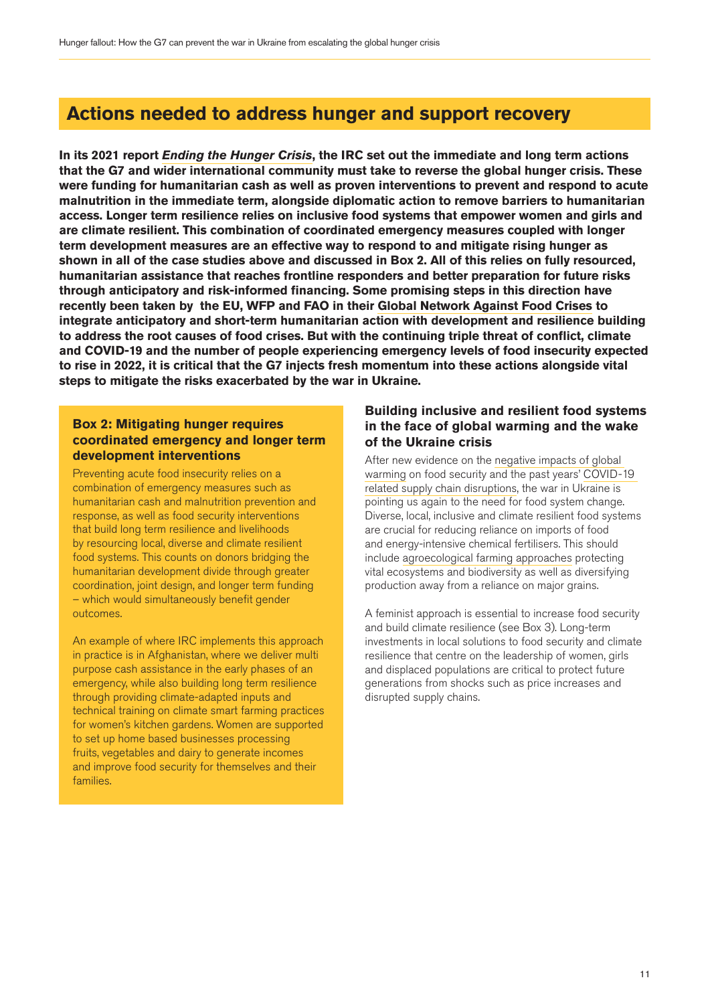# **Actions needed to address hunger and support recovery**

**In its 2021 report** *[Ending the Hunger Crisis](https://www.rescue.org/sites/default/files/document/5903/endingthehungercrisis.pdf)***, the IRC set out the immediate and long term actions that the G7 and wider international community must take to reverse the global hunger crisis. These were funding for humanitarian cash as well as proven interventions to prevent and respond to acute malnutrition in the immediate term, alongside diplomatic action to remove barriers to humanitarian access. Longer term resilience relies on inclusive food systems that empower women and girls and are climate resilient. This combination of coordinated emergency measures coupled with longer term development measures are an effective way to respond to and mitigate rising hunger as shown in all of the case studies above and discussed in Box 2. All of this relies on fully resourced, humanitarian assistance that reaches frontline responders and better preparation for future risks through anticipatory and risk-informed financing. Some promising steps in this direction have recently been taken by the EU, WFP and FAO in their [Global Network Against Food Crises](https://www.fao.org/resilience/global-network-against-food-crises/en/) to integrate anticipatory and short-term humanitarian action with development and resilience building to address the root causes of food crises. But with the continuing triple threat of conflict, climate and COVID-19 and the number of people experiencing emergency levels of food insecurity expected to rise in 2022, it is critical that the G7 injects fresh momentum into these actions alongside vital steps to mitigate the risks exacerbated by the war in Ukraine.**

### **Box 2: Mitigating hunger requires coordinated emergency and longer term development interventions**

Preventing acute food insecurity relies on a combination of emergency measures such as humanitarian cash and malnutrition prevention and response, as well as food security interventions that build long term resilience and livelihoods by resourcing local, diverse and climate resilient food systems. This counts on donors bridging the humanitarian development divide through greater coordination, joint design, and longer term funding – which would simultaneously benefit gender outcomes.

An example of where IRC implements this approach in practice is in Afghanistan, where we deliver multi purpose cash assistance in the early phases of an emergency, while also building long term resilience through providing climate-adapted inputs and technical training on climate smart farming practices for women's kitchen gardens. Women are supported to set up home based businesses processing fruits, vegetables and dairy to generate incomes and improve food security for themselves and their families.

# **Building inclusive and resilient food systems in the face of global warming and the wake of the Ukraine crisis**

After new evidence on the [negative impacts of global](https://www.ipcc.ch/report/ar6/wg2/downloads/report/IPCC_AR6_WGII_SummaryForPolicymakers.pdf)  [warming](https://www.ipcc.ch/report/ar6/wg2/downloads/report/IPCC_AR6_WGII_SummaryForPolicymakers.pdf) on food security and the past years' [COVID-19](https://www.fao.org/3/cb1020en/CB1020EN.pdf)  [related supply chain disruptions,](https://www.fao.org/3/cb1020en/CB1020EN.pdf) the war in Ukraine is pointing us again to the need for food system change. Diverse, local, inclusive and climate resilient food systems are crucial for reducing reliance on imports of food and energy-intensive chemical fertilisers. This should include [agroecological farming approaches](https://www.chathamhouse.org/2022/04/ukraine-war-and-threats-food-and-energy-security) protecting vital ecosystems and biodiversity as well as diversifying production away from a reliance on major grains.

A feminist approach is essential to increase food security and build climate resilience (see Box 3). Long-term investments in local solutions to food security and climate resilience that centre on the leadership of women, girls and displaced populations are critical to protect future generations from shocks such as price increases and disrupted supply chains.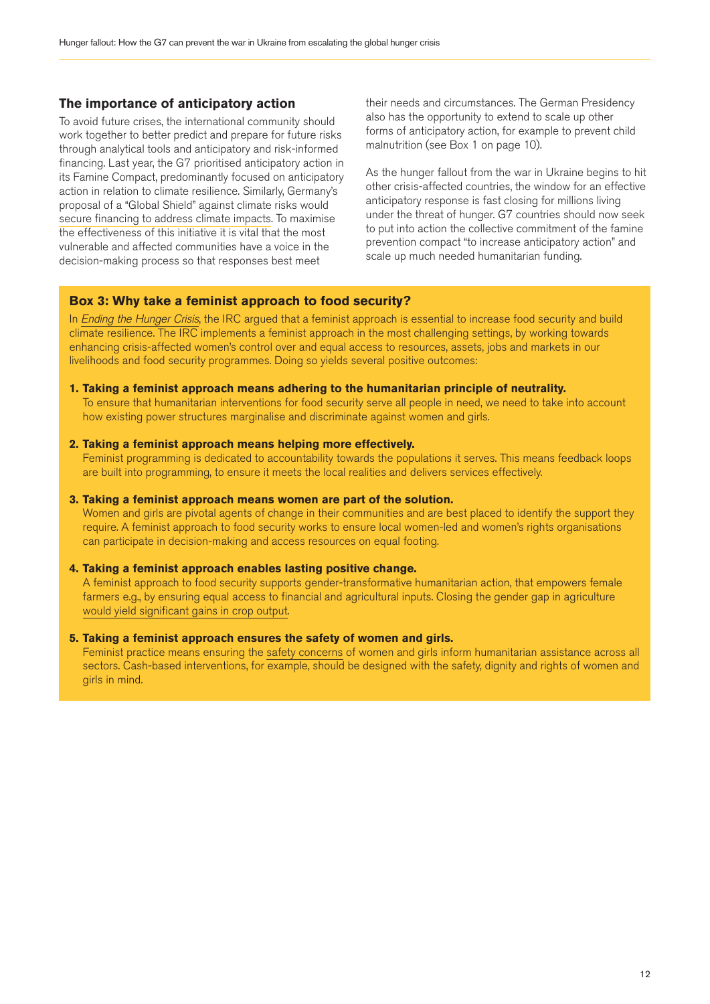### **The importance of anticipatory action**

To avoid future crises, the international community should work together to better predict and prepare for future risks through analytical tools and anticipatory and risk-informed financing. Last year, the G7 prioritised anticipatory action in its Famine Compact, predominantly focused on anticipatory action in relation to climate resilience. Similarly, Germany's proposal of a "Global Shield" against climate risks would [secure financing to address climate impacts](https://www.e3g.org/news/2022-in-climate-diplomacy-diplomatic-opportunities/). To maximise the effectiveness of this initiative it is vital that the most vulnerable and affected communities have a voice in the decision-making process so that responses best meet

their needs and circumstances. The German Presidency also has the opportunity to extend to scale up other forms of anticipatory action, for example to prevent child malnutrition (see Box 1 on page 10).

As the hunger fallout from the war in Ukraine begins to hit other crisis-affected countries, the window for an effective anticipatory response is fast closing for millions living under the threat of hunger. G7 countries should now seek to put into action the collective commitment of the famine prevention compact "to increase anticipatory action" and scale up much needed humanitarian funding.

### **Box 3: Why take a feminist approach to food security?**

In *[Ending the Hunger Crisis](https://www.rescue.org/sites/default/files/document/5903/endingthehungercrisis.pdf)*, the IRC argued that a feminist approach is essential to increase food security and build climate resilience. The IRC implements a feminist approach in the most challenging settings, by working towards enhancing crisis-affected women's control over and equal access to resources, assets, jobs and markets in our livelihoods and food security programmes. Doing so yields several positive outcomes:

#### **1. Taking a feminist approach means adhering to the humanitarian principle of neutrality.**

To ensure that humanitarian interventions for food security serve all people in need, we need to take into account how existing power structures marginalise and discriminate against women and girls.

### **2. Taking a feminist approach means helping more effectively.**

Feminist programming is dedicated to accountability towards the populations it serves. This means feedback loops are built into programming, to ensure it meets the local realities and delivers services effectively.

### **3. Taking a feminist approach means women are part of the solution.**

Women and girls are pivotal agents of change in their communities and are best placed to identify the support they require. A feminist approach to food security works to ensure local women-led and women's rights organisations can participate in decision-making and access resources on equal footing.

### **4. Taking a feminist approach enables lasting positive change.**

A feminist approach to food security supports gender-transformative humanitarian action, that empowers female farmers e.g., by ensuring equal access to financial and agricultural inputs. Closing the gender gap in agriculture [would yield significant gains in crop output](https://www2.unwomen.org/~/media/headquarters/attachments/sections/library/publications/2015/costing gender gap_launch.pdf?v=1&d=20151015T142608).

### **5. Taking a feminist approach ensures the safety of women and girls.**

Feminist practice means ensuring the [safety concerns](https://reliefweb.int/report/world/safer-cash-toolkit-collecting-and-using-data-make-cash-programs-safer?msclkid=50202c65c6f111ec81ffa8600bfed183) of women and girls inform humanitarian assistance across all sectors. Cash-based interventions, for example, should be designed with the safety, dignity and rights of women and girls in mind.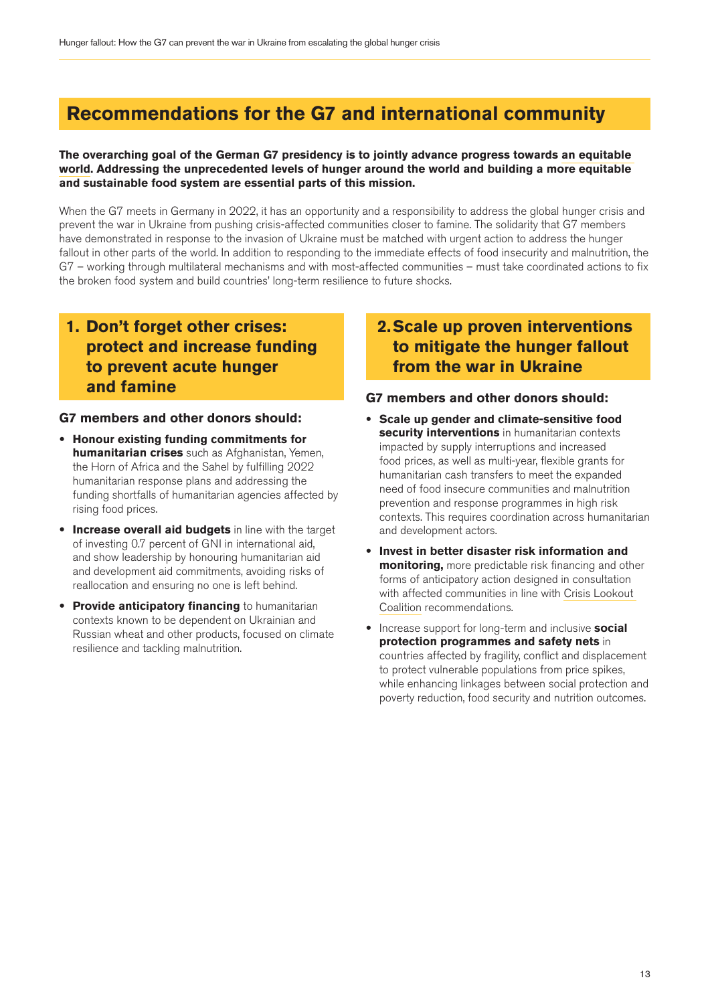# **Recommendations for the G7 and international community**

### **The overarching goal of the German G7 presidency is to jointly advance progress towards [an equitable](https://www.g7germany.de/g7-en/current-information/g7-presidency-programme-1999718)  [world.](https://www.g7germany.de/g7-en/current-information/g7-presidency-programme-1999718) Addressing the unprecedented levels of hunger around the world and building a more equitable and sustainable food system are essential parts of this mission.**

When the G7 meets in Germany in 2022, it has an opportunity and a responsibility to address the global hunger crisis and prevent the war in Ukraine from pushing crisis-affected communities closer to famine. The solidarity that G7 members have demonstrated in response to the invasion of Ukraine must be matched with urgent action to address the hunger fallout in other parts of the world. In addition to responding to the immediate effects of food insecurity and malnutrition, the G7 – working through multilateral mechanisms and with most-affected communities – must take coordinated actions to fix the broken food system and build countries' long-term resilience to future shocks.

# **1. Don't forget other crises: protect and increase funding to prevent acute hunger and famine**

### **G7 members and other donors should:**

- **Honour existing funding commitments for humanitarian crises** such as Afghanistan, Yemen, the Horn of Africa and the Sahel by fulfilling 2022 humanitarian response plans and addressing the funding shortfalls of humanitarian agencies affected by rising food prices.
- **Increase overall aid budgets** in line with the target of investing 0.7 percent of GNI in international aid, and show leadership by honouring humanitarian aid and development aid commitments, avoiding risks of reallocation and ensuring no one is left behind.
- **Provide anticipatory financing** to humanitarian contexts known to be dependent on Ukrainian and Russian wheat and other products, focused on climate resilience and tackling malnutrition.

# **2. Scale up proven interventions to mitigate the hunger fallout from the war in Ukraine**

## **G7 members and other donors should:**

- **Scale up gender and climate-sensitive food security interventions** in humanitarian contexts impacted by supply interruptions and increased food prices, as well as multi-year, flexible grants for humanitarian cash transfers to meet the expanded need of food insecure communities and malnutrition prevention and response programmes in high risk contexts. This requires coordination across humanitarian and development actors.
- **Invest in better disaster risk information and monitoring,** more predictable risk financing and other forms of anticipatory action designed in consultation with affected communities in line with [Crisis Lookout](https://www.disasterprotection.org/latest-news/centre-launches-g7-solutions-paper-as-crisis-lookout-coalition-gathers-to-explore-lessons-of-covid-19)  [Coalition](https://www.disasterprotection.org/latest-news/centre-launches-g7-solutions-paper-as-crisis-lookout-coalition-gathers-to-explore-lessons-of-covid-19) recommendations.
- Increase support for long-term and inclusive **social protection programmes and safety nets** in countries affected by fragility, conflict and displacement to protect vulnerable populations from price spikes, while enhancing linkages between social protection and poverty reduction, food security and nutrition outcomes.